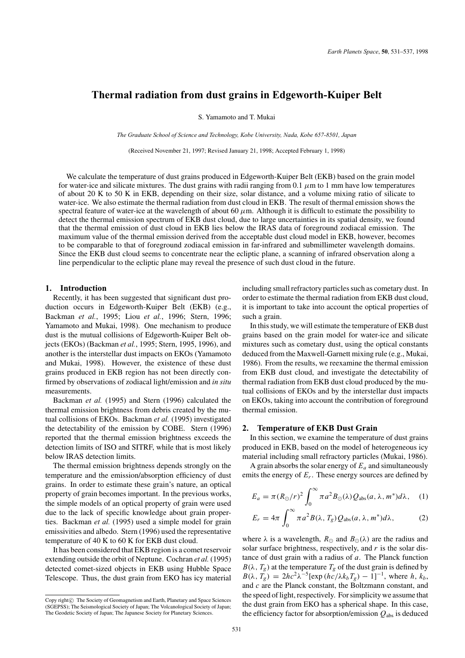# **Thermal radiation from dust grains in Edgeworth-Kuiper Belt**

S. Yamamoto and T. Mukai

*The Graduate School of Science and Technology, Kobe University, Nada, Kobe 657-8501, Japan*

(Received November 21, 1997; Revised January 21, 1998; Accepted February 1, 1998)

We calculate the temperature of dust grains produced in Edgeworth-Kuiper Belt (EKB) based on the grain model for water-ice and silicate mixtures. The dust grains with radii ranging from 0.1  $\mu$ m to 1 mm have low temperatures of about 20 K to 50 K in EKB, depending on their size, solar distance, and a volume mixing ratio of silicate to water-ice. We also estimate the thermal radiation from dust cloud in EKB. The result of thermal emission shows the spectral feature of water-ice at the wavelength of about 60  $\mu$ m. Although it is difficult to estimate the possibility to detect the thermal emission spectrum of EKB dust cloud, due to large uncertainties in its spatial density, we found that the thermal emission of dust cloud in EKB lies below the IRAS data of foreground zodiacal emission. The maximum value of the thermal emission derived from the acceptable dust cloud model in EKB, however, becomes to be comparable to that of foreground zodiacal emission in far-infrared and submillimeter wavelength domains. Since the EKB dust cloud seems to concentrate near the ecliptic plane, a scanning of infrared observation along a line perpendicular to the ecliptic plane may reveal the presence of such dust cloud in the future.

## **1. Introduction**

Recently, it has been suggested that significant dust production occurs in Edgeworth-Kuiper Belt (EKB) (e.g., Backman *et al.*, 1995; Liou *et al.*, 1996; Stern, 1996; Yamamoto and Mukai, 1998). One mechanism to produce dust is the mutual collisions of Edgeworth-Kuiper Belt objects (EKOs) (Backman *et al.*, 1995; Stern, 1995, 1996), and another is the interstellar dust impacts on EKOs (Yamamoto and Mukai, 1998). However, the existence of these dust grains produced in EKB region has not been directly confirmed by observations of zodiacal light/emission and *in situ* measurements.

Backman *et al.* (1995) and Stern (1996) calculated the thermal emission brightness from debris created by the mutual collisions of EKOs. Backman *et al.* (1995) investigated the detectability of the emission by COBE. Stern (1996) reported that the thermal emission brightness exceeds the detection limits of ISO and SITRF, while that is most likely below IRAS detection limits.

The thermal emission brightness depends strongly on the temperature and the emission/absorption efficiency of dust grains. In order to estimate these grain's nature, an optical property of grain becomes important. In the previous works, the simple models of an optical property of grain were used due to the lack of specific knowledge about grain properties. Backman *et al.* (1995) used a simple model for grain emissivities and albedo. Stern (1996) used the representative temperature of 40 K to 60 K for EKB dust cloud.

It has been considered that EKB region is a comet reservoir extending outside the orbit of Neptune. Cochran *et al.* (1995) detected comet-sized objects in EKB using Hubble Space Telescope. Thus, the dust grain from EKO has icy material

including small refractory particles such as cometary dust. In order to estimate the thermal radiation from EKB dust cloud, it is important to take into account the optical properties of such a grain.

In this study, we will estimate the temperature of EKB dust grains based on the grain model for water-ice and silicate mixtures such as cometary dust, using the optical constants deduced from the Maxwell-Garnett mixing rule (e.g., Mukai, 1986). From the results, we reexamine the thermal emission from EKB dust cloud, and investigate the detectability of thermal radiation from EKB dust cloud produced by the mutual collisions of EKOs and by the interstellar dust impacts on EKOs, taking into account the contribution of foreground thermal emission.

### **2. Temperature of EKB Dust Grain**

In this section, we examine the temperature of dust grains produced in EKB, based on the model of heterogeneous icy material including small refractory particles (Mukai, 1986).

A grain absorbs the solar energy of  $E_a$  and simultaneously emits the energy of  $E_r$ . These energy sources are defined by

$$
E_a = \pi (R_{\odot}/r)^2 \int_0^{\infty} \pi a^2 B_{\odot}(\lambda) Q_{\text{abs}}(a, \lambda, m^*) d\lambda, \quad (1)
$$

$$
E_r = 4\pi \int_0^\infty \pi a^2 B(\lambda, T_g) Q_{\text{abs}}(a, \lambda, m^*) d\lambda,
$$
 (2)

where  $\lambda$  is a wavelength,  $R_{\odot}$  and  $B_{\odot}(\lambda)$  are the radius and solar surface brightness, respectively, and *r* is the solar distance of dust grain with a radius of *a*. The Planck function  $B(\lambda, T_g)$  at the temperature  $T_g$  of the dust grain is defined by  $B(\lambda, T_g) = 2hc^2\lambda^{-5}[\exp(hc/\lambda k_bT_g) - 1]^{-1}$ , where *h*,  $k_b$ , and *c* are the Planck constant, the Boltzmann constant, and the speed of light, respectively. For simplicity we assume that the dust grain from EKO has a spherical shape. In this case, the efficiency factor for absorption/emission  $Q_{\text{abs}}$  is deduced

Copy right© The Society of Geomagnetism and Earth, Planetary and Space Sciences (SGEPSS); The Seismological Society of Japan; The Volcanological Society of Japan; The Geodetic Society of Japan; The Japanese Society for Planetary Sciences.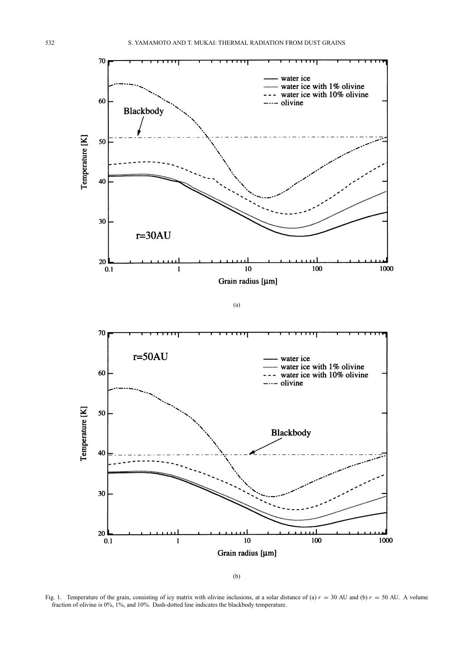



Fig. 1. Temperature of the grain, consisting of icy matrix with olivine inclusions, at a solar distance of (a)  $r = 30$  AU and (b)  $r = 50$  AU. A volume fraction of olivine is 0%, 1%, and 10%. Dash-dotted line indicates the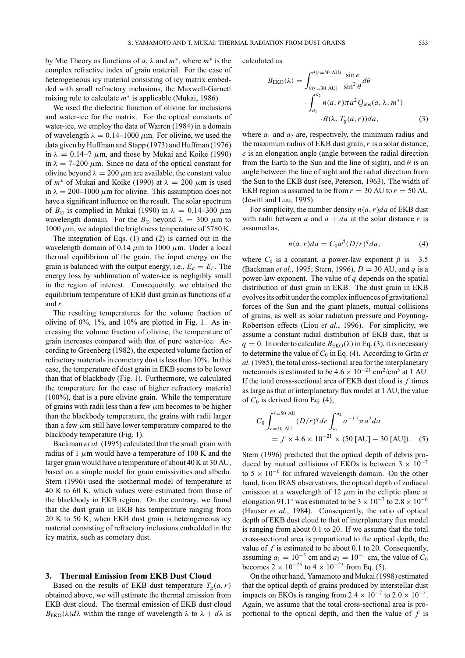by Mie Theory as functions of *a*, λ and *m*∗, where *m*<sup>∗</sup> is the complex refractive index of grain material. For the case of heterogeneous icy material consisting of icy matrix embedded with small refractory inclusions, the Maxwell-Garnett mixing rule to calculate *m*<sup>∗</sup> is applicable (Mukai, 1986).

We used the dielectric function of olivine for inclusions and water-ice for the matrix. For the optical constants of water-ice, we employ the data of Warren (1984) in a domain of wavelength  $\lambda = 0.14$ –1000  $\mu$ m. For olivine, we used the data given by Huffman and Stapp (1973) and Huffman (1976) in  $\lambda = 0.14-7 \mu m$ , and those by Mukai and Koike (1990) in  $\lambda = 7{\text -}200 \mu$ m. Since no data of the optical constant for olivine beyond  $\lambda = 200 \mu m$  are available, the constant value of  $m^*$  of Mukai and Koike (1990) at  $\lambda = 200 \ \mu m$  is used in  $\lambda = 200-1000 \mu$ m for olivine. This assumption does not have a significant influence on the result. The solar spectrum of  $B_{\odot}$  is complied in Mukai (1990) in  $\lambda = 0.14-300 \mu m$ wavelength domain. For the  $B_{\odot}$  beyond  $\lambda = 300 \ \mu \text{m}$  to 1000  $\mu$ m, we adopted the brightness temperature of 5780 K.

The integration of Eqs. (1) and (2) is carried out in the wavelength domain of 0.14  $\mu$ m to 1000  $\mu$ m. Under a local thermal equilibrium of the grain, the input energy on the grain is balanced with the output energy, i.e.,  $E_a = E_r$ . The energy loss by sublimation of water-ice is negligibly small in the region of interest. Consequently, we obtained the equilibrium temperature of EKB dust grain as functions of *a* and *r*.

The resulting temperatures for the volume fraction of olivine of  $0\%$ ,  $1\%$ , and  $10\%$  are plotted in Fig. 1. As increasing the volume fraction of olivine, the temperature of grain increases compared with that of pure water-ice. According to Greenberg (1982), the expected volume faction of refractory materials in cometary dust is less than 10%. In this case, the temperature of dust grain in EKB seems to be lower than that of blackbody (Fig. 1). Furthermore, we calculated the temperature for the case of higher refractory material (100%), that is a pure olivine grain. While the temperature of grains with radii less than a few  $\mu$ m becomes to be higher than the blackbody temperature, the grains with radii larger than a few  $\mu$ m still have lower temperature compared to the blackbody temperature (Fig. 1).

Backman *et al.* (1995) calculated that the small grain with radius of 1  $\mu$ m would have a temperature of 100 K and the larger grain would have a temperature of about 40 K at 30 AU, based on a simple model for grain emissivities and albedo. Stern (1996) used the isothermal model of temperature at 40 K to 60 K, which values were estimated from those of the blackbody in EKB region. On the contrary, we found that the dust grain in EKB has temperature ranging from 20 K to 50 K, when EKB dust grain is heterogeneous icy material consisting of refractory inclusions embedded in the icy matrix, such as cometary dust.

## **3. Thermal Emission from EKB Dust Cloud**

Based on the results of EKB dust temperature  $T_g(a, r)$ obtained above, we will estimate the thermal emission from EKB dust cloud. The thermal emission of EKB dust cloud  $B_{\text{EKO}}(\lambda) d\lambda$  within the range of wavelength  $\lambda$  to  $\lambda + d\lambda$  is calculated as

$$
B_{\text{EKO}}(\lambda) = \int_{\theta(r=30 \text{ AU})}^{\theta(r=50 \text{ AU})} \frac{\sin e}{\sin^2 \theta} d\theta
$$

$$
\cdot \int_{a_1}^{a_2} n(a, r) \pi a^2 Q_{\text{abs}}(a, \lambda, m^*)
$$

$$
\cdot B(\lambda, T_g(a, r)) da, \tag{3}
$$

where  $a_1$  and  $a_2$  are, respectively, the minimum radius and the maximum radius of EKB dust grain, *r* is a solar distance, *e* is an elongation angle (angle between the radial direction from the Earth to the Sun and the line of sight), and  $\theta$  is an angle between the line of sight and the radial direction from the Sun to the EKB dust (see, Peterson, 1963). The width of EKB region is assumed to be from  $r = 30$  AU to  $r = 50$  AU (Jewitt and Luu, 1995).

For simplicity, the number density  $n(a, r)da$  of EKB dust with radii between *a* and  $a + da$  at the solar distance *r* is assumed as,

$$
n(a,r)da = C_0 a^{\beta} (D/r)^q da,
$$
 (4)

where  $C_0$  is a constant, a power-law exponent  $\beta$  is  $-3.5$ (Backman *et al.*, 1995; Stern, 1996), *D* = 30 AU, and *q* is a power-law exponent. The value of *q* depends on the spatial distribution of dust grain in EKB. The dust grain in EKB evolves its orbit under the complex influences of gravitational forces of the Sun and the giant planets, mutual collisions of grains, as well as solar radiation pressure and Poynting-Robertson effects (Liou *et al.*, 1996). For simplicity, we assume a constant radial distribution of EKB dust, that is  $q = 0$ . In order to calculate  $B_{EKO}(\lambda)$  in Eq. (3), it is necessary to determine the value of  $C_0$  in Eq. (4). According to Grün *et al.* (1985), the total cross-sectional area for the interplanetary meteoroids is estimated to be  $4.6 \times 10^{-21}$  cm<sup>2</sup>/cm<sup>3</sup> at 1 AU. If the total cross-sectional area of EKB dust cloud is *f* times as large as that of interplanetary flux model at 1 AU, the value of  $C_0$  is derived from Eq. (4),

$$
C_0 \int_{r=30 \text{ AU}}^{r=50 \text{ AU}} (D/r)^q dr \int_{a_1}^{a_2} a^{-3.5} \pi a^2 da
$$
  
=  $f \times 4.6 \times 10^{-21} \times (50 \text{ [AU]} - 30 \text{ [AU]}).$  (5)

Stern (1996) predicted that the optical depth of debris produced by mutual collisions of EKOs is between  $3 \times 10^{-7}$ to  $5 \times 10^{-6}$  for infrared wavelength domain. On the other hand, from IRAS observations, the optical depth of zodiacal emission at a wavelength of 12  $\mu$ m in the ecliptic plane at elongation 91.1° was estimated to be  $3 \times 10^{-7}$  to  $2.8 \times 10^{-6}$ (Hauser *et al.*, 1984). Consequently, the ratio of optical depth of EKB dust cloud to that of interplanetary flux model is ranging from about 0.1 to 20. If we assume that the total cross-sectional area is proportional to the optical depth, the value of *f* is estimated to be about 0.1 to 20. Consequently, assuming  $a_1 = 10^{-5}$  cm and  $a_2 = 10^{-1}$  cm, the value of  $C_0$ becomes  $2 \times 10^{-25}$  to  $4 \times 10^{-23}$  from Eq. (5).

On the other hand, Yamamoto and Mukai (1998) estimated that the optical depth of grains produced by interstellar dust impacts on EKOs is ranging from  $2.4 \times 10^{-7}$  to  $2.0 \times 10^{-5}$ . Again, we assume that the total cross-sectional area is proportional to the optical depth, and then the value of *f* is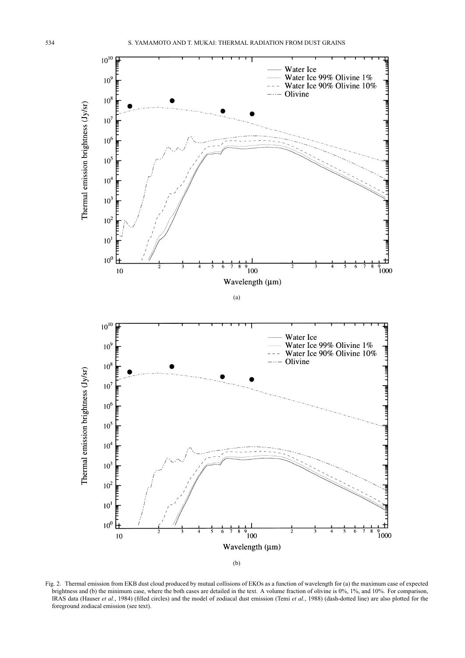

Fig. 2. Thermal emission from EKB dust cloud produced by mutual collisions of EKOs as a function of wavelength for (a) the maximum case of expected brightness and (b) the minimum case, where the both cases are detailed in the text. A volume fraction of olivine is 0%, 1%, and 10%. For comparison, IRAS data (Hauser *et al.*, 1984) (filled circles) and the model of zodiacal dust emission (Temi *et al.*, 1988) (dash-dotted line) are also plotted for the foreground zodiacal emission (see text).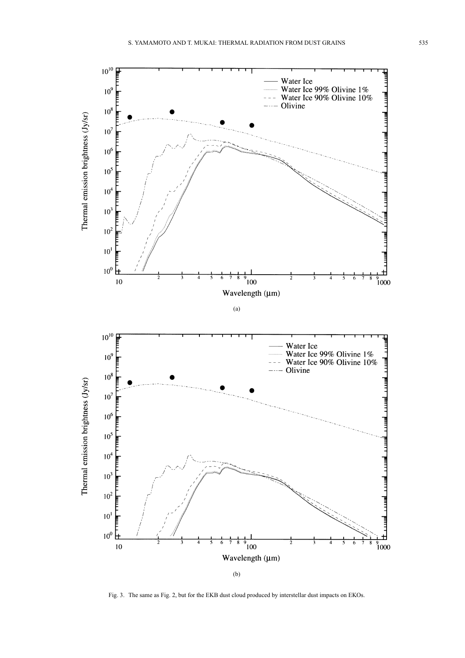

Fig. 3. The same as Fig. 2, but for the EKB dust cloud produced by interstellar dust impacts on EKOs.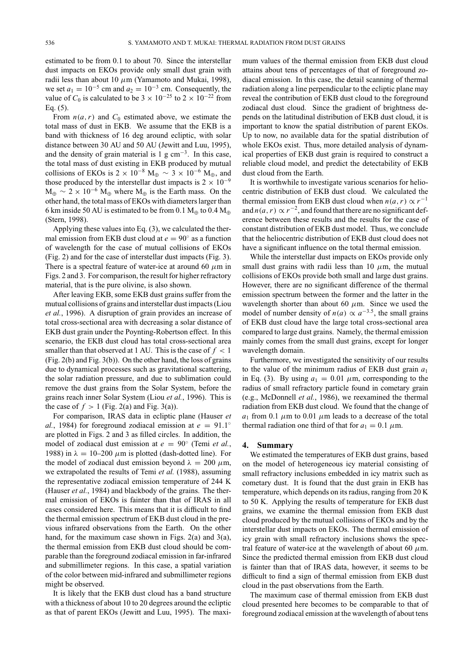estimated to be from 0.1 to about 70. Since the interstellar dust impacts on EKOs provide only small dust grain with radii less than about 10  $\mu$ m (Yamamoto and Mukai, 1998), we set  $a_1 = 10^{-5}$  cm and  $a_2 = 10^{-3}$  cm. Consequently, the value of  $C_0$  is calculated to be  $3 \times 10^{-25}$  to  $2 \times 10^{-22}$  from Eq. (5).

From  $n(a, r)$  and  $C_0$  estimated above, we estimate the total mass of dust in EKB. We assume that the EKB is a band with thickness of 16 deg around ecliptic, with solar distance between 30 AU and 50 AU (Jewitt and Luu, 1995), and the density of grain material is  $1 \text{ g cm}^{-3}$ . In this case, the total mass of dust existing in EKB produced by mutual collisions of EKOs is  $2 \times 10^{-8}$  M<sub>⊕</sub>  $\sim 3 \times 10^{-6}$  M<sub>⊕</sub>, and those produced by the interstellar dust impacts is  $2 \times 10^{-9}$  $M_{\oplus} \sim 2 \times 10^{-6}$  M<sub>⊕</sub> where M<sub>⊕</sub> is the Earth mass. On the other hand, the total mass of EKOs with diameters larger than 6 km inside 50 AU is estimated to be from 0.1  $M_{\oplus}$  to 0.4  $M_{\oplus}$ (Stern, 1998).

Applying these values into Eq. (3), we calculated the thermal emission from EKB dust cloud at  $e = 90°$  as a function of wavelength for the case of mutual collisions of EKOs (Fig. 2) and for the case of interstellar dust impacts (Fig. 3). There is a spectral feature of water-ice at around 60  $\mu$ m in Figs. 2 and 3. For comparison, the result for higher refractory material, that is the pure olivine, is also shown.

After leaving EKB, some EKB dust grains suffer from the mutual collisions of grains and interstellar dust impacts (Liou *et al.*, 1996). A disruption of grain provides an increase of total cross-sectional area with decreasing a solar distance of EKB dust grain under the Poynting-Robertson effect. In this scenario, the EKB dust cloud has total cross-sectional area smaller than that observed at 1 AU. This is the case of  $f < 1$ (Fig. 2(b) and Fig. 3(b)). On the other hand, the loss of grains due to dynamical processes such as gravitational scattering, the solar radiation pressure, and due to sublimation could remove the dust grains from the Solar System, before the grains reach inner Solar System (Liou *et al.*, 1996). This is the case of  $f > 1$  (Fig. 2(a) and Fig. 3(a)).

For comparison, IRAS data in ecliptic plane (Hauser *et al.*, 1984) for foreground zodiacal emission at  $e = 91.1°$ are plotted in Figs. 2 and 3 as filled circles. In addition, the model of zodiacal dust emission at *e* = 90◦ (Temi *et al.*, 1988) in  $\lambda = 10-200 \mu m$  is plotted (dash-dotted line). For the model of zodiacal dust emission beyond  $\lambda = 200 \mu m$ , we extrapolated the results of Temi *et al.* (1988), assuming the representative zodiacal emission temperature of 244 K (Hauser *et al.*, 1984) and blackbody of the grains. The thermal emission of EKOs is fainter than that of IRAS in all cases considered here. This means that it is difficult to find the thermal emission spectrum of EKB dust cloud in the previous infrared observations from the Earth. On the other hand, for the maximum case shown in Figs. 2(a) and 3(a), the thermal emission from EKB dust cloud should be comparable than the foreground zodiacal emission in far-infrared and submillimeter regions. In this case, a spatial variation of the color between mid-infrared and submillimeter regions might be observed.

It is likely that the EKB dust cloud has a band structure with a thickness of about 10 to 20 degrees around the ecliptic as that of parent EKOs (Jewitt and Luu, 1995). The maximum values of the thermal emission from EKB dust cloud attains about tens of percentages of that of foreground zodiacal emission. In this case, the detail scanning of thermal radiation along a line perpendicular to the ecliptic plane may reveal the contribution of EKB dust cloud to the foreground zodiacal dust cloud. Since the gradient of brightness depends on the latitudinal distribution of EKB dust cloud, it is important to know the spatial distribution of parent EKOs. Up to now, no available data for the spatial distribution of whole EKOs exist. Thus, more detailed analysis of dynamical properties of EKB dust grain is required to construct a reliable cloud model, and predict the detectability of EKB dust cloud from the Earth.

It is worthwhile to investigate various scenarios for heliocentric distribution of EKB dust cloud. We calculated the thermal emission from EKB dust cloud when  $n(a, r) \propto r^{-1}$ and  $n(a, r) \propto r^{-2}$ , and found that there are no significant deference between these results and the results for the case of constant distribution of EKB dust model. Thus, we conclude that the heliocentric distribution of EKB dust cloud does not have a significant influence on the total thermal emission.

While the interstellar dust impacts on EKOs provide only small dust grains with radii less than 10  $\mu$ m, the mutual collisions of EKOs provide both small and large dust grains. However, there are no significant difference of the thermal emission spectrum between the former and the latter in the wavelength shorter than about 60  $\mu$ m. Since we used the model of number density of  $n(a) \propto a^{-3.5}$ , the small grains of EKB dust cloud have the large total cross-sectional area compared to large dust grains. Namely, the thermal emission mainly comes from the small dust grains, except for longer wavelength domain.

Furthermore, we investigated the sensitivity of our results to the value of the minimum radius of EKB dust grain *a*<sup>1</sup> in Eq. (3). By using  $a_1 = 0.01 \mu m$ , corresponding to the radius of small refractory particle found in cometary grain (e.g., McDonnell *et al.*, 1986), we reexamined the thermal radiation from EKB dust cloud. We found that the change of  $a_1$  from 0.1  $\mu$ m to 0.01  $\mu$ m leads to a decrease of the total thermal radiation one third of that for  $a_1 = 0.1 \mu m$ .

### **4. Summary**

We estimated the temperatures of EKB dust grains, based on the model of heterogeneous icy material consisting of small refractory inclusions embedded in icy matrix such as cometary dust. It is found that the dust grain in EKB has temperature, which depends on its radius, ranging from 20 K to 50 K. Applying the results of temperature for EKB dust grains, we examine the thermal emission from EKB dust cloud produced by the mutual collisions of EKOs and by the interstellar dust impacts on EKOs. The thermal emission of icy grain with small refractory inclusions shows the spectral feature of water-ice at the wavelength of about 60  $\mu$ m. Since the predicted thermal emission from EKB dust cloud is fainter than that of IRAS data, however, it seems to be difficult to find a sign of thermal emission from EKB dust cloud in the past observations from the Earth.

The maximum case of thermal emission from EKB dust cloud presented here becomes to be comparable to that of foreground zodiacal emission at the wavelength of about tens